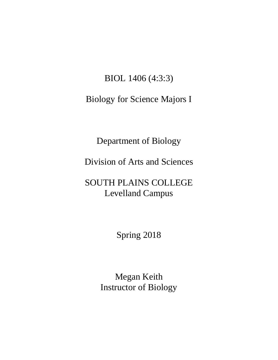# BIOL 1406 (4:3:3)

# Biology for Science Majors I

Department of Biology

Division of Arts and Sciences

# SOUTH PLAINS COLLEGE Levelland Campus

Spring 2018

Megan Keith Instructor of Biology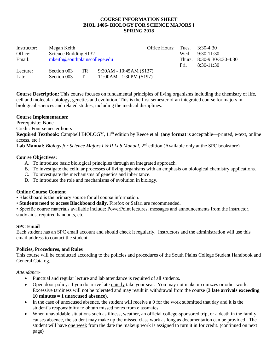#### **COURSE INFORMATION SHEET BIOL 1406- BIOLOGY FOR SCIENCE MAJORS I SPRING 2018**

| Instructor: | Megan Keith                      |     |                           | Office Hours: | Tues. | 3:30-4:30                    |
|-------------|----------------------------------|-----|---------------------------|---------------|-------|------------------------------|
| Office:     | Science Building S132            |     |                           |               | Wed.  | $9:30-11:30$                 |
| Email:      | $m$ keith@southplainscollege.edu |     |                           |               |       | Thurs. $8:30-9:30/3:30-4:30$ |
|             |                                  |     |                           |               | Fri.  | $8:30-11:30$                 |
| Lecture:    | Section 003                      | TR. | $9:30AM - 10:45AM (S137)$ |               |       |                              |
| Lab:        | Section 003                      | T   | $11:00AM - 1:30PM(S197)$  |               |       |                              |

**Course Description:** This course focuses on fundamental principles of living organisms including the chemistry of life, cell and molecular biology, genetics and evolution. This is the first semester of an integrated course for majors in biological sciences and related studies, including the medical disciplines.

## **Course Implementation:**

Prerequisite: None

Credit: Four semester hours

Required Textbook: Campbell BIOLOGY, 11<sup>th</sup> edition by Reece et al. (any format is acceptable—printed, e-text, online access, etc.)

Lab Manual: *Biology for Science Majors I & II Lab Manual*, 2<sup>nd</sup> edition (Available only at the SPC bookstore)

## **Course Objectives:**

- A. To introduce basic biological principles through an integrated approach.
- B. To investigate the cellular processes of living organisms with an emphasis on biological chemistry applications.
- C. To investigate the mechanisms of genetics and inheritance.
- D. To introduce the role and mechanisms of evolution in biology.

# **Online Course Content**

- Blackboard is the primary source for all course information.
- **Students need to access Blackboard daily**. Firefox or Safari are recommended.

• Specific course materials available include: PowerPoint lectures, messages and announcements from the instructor, study aids, required handouts, etc.

#### **SPC Email**

Each student has an SPC email account and should check it regularly. Instructors and the administration will use this email address to contact the student.

#### **Policies, Procedures, and Rules**

This course will be conducted according to the policies and procedures of the South Plains College Student Handbook and General Catalog.

#### *Attendance*-

- Punctual and regular lecture and lab attendance is required of all students.
- Open door policy: if you do arrive late quietly take your seat. You may not make up quizzes or other work. Excessive tardiness will not be tolerated and may result in withdrawal from the course (**3 late arrivals exceeding 10 minutes = 1 unexcused absence**).
- In the case of unexcused absence, the student will receive a 0 for the work submitted that day and it is the student's responsibility to obtain missed notes from classmates.
- When unavoidable situations such as illness, weather, an official college-sponsored trip, or a death in the family causes absence, the student may make up the missed class work as long as documentation can be provided. The student will have one week from the date the makeup work is assigned to turn it in for credit. (continued on next page)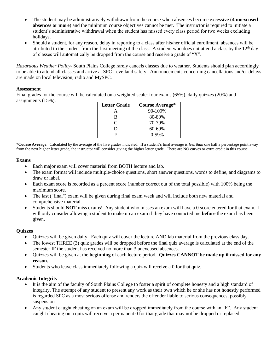- The student may be administratively withdrawn from the course when absences become excessive (**4 unexcused absences or more**) and the minimum course objectives cannot be met. The instructor is required to initiate a student's administrative withdrawal when the student has missed every class period for two weeks excluding holidays.
- Should a student, for any reason, delay in reporting to a class after his/her official enrollment, absences will be attributed to the student from the first meeting of the class. A student who does not attend a class by the  $12<sup>th</sup>$  day of classes will automatically be dropped from the course and receive a grade of "X".

*Hazardous Weather Policy-* South Plains College rarely cancels classes due to weather. Students should plan accordingly to be able to attend all classes and arrive at SPC Levelland safely. Announcements concerning cancellations and/or delays are made on local television, radio and MySPC.

### **Assessment**

Final grades for the course will be calculated on a weighted scale: four exams (65%), daily quizzes (20%) and assignments (15%).

| <b>Letter Grade</b> | <b>Course Average*</b> |
|---------------------|------------------------|
|                     | 90-100%                |
| В                   | 80-89%                 |
| ┌                   | 70-79%                 |
| Ð                   | 60-69%                 |
| E                   | $0-59%$                |

\***Course Average**: Calculated by the average of the five grades indicated. If a student's final average *is less than* one half a percentage point away from the next higher letter grade, the instructor will consider giving the higher letter grade. There are NO curves or extra credit in this course.

#### **Exams**

- Each major exam will cover material from BOTH lecture and lab.
- The exam format will include multiple-choice questions, short answer questions, words to define, and diagrams to draw or label.
- Each exam score is recorded as a percent score (number correct out of the total possible) with 100% being the maximum score.
- The last ("final") exam will be given during final exam week and will include both new material and comprehensive material.
- Students should **NOT** miss exams! Any student who misses an exam will have a 0 score entered for that exam. I will only consider allowing a student to make up an exam if they have contacted me **before** the exam has been given.

# **Quizzes**

- Quizzes will be given daily. Each quiz will cover the lecture AND lab material from the previous class day.
- The lowest THREE (3) quiz grades will be dropped before the final quiz average is calculated at the end of the semester IF the student has received no more than 3 unexcused absences.
- Quizzes will be given at the **beginning** of each lecture period. **Quizzes CANNOT be made up if missed for any reason.**
- Students who leave class immediately following a quiz will receive a 0 for that quiz.

#### **Academic Integrity**

- It is the aim of the faculty of South Plains College to foster a spirit of complete honesty and a high standard of integrity. The attempt of any student to present any work as their own which he or she has not honestly performed is regarded SPC as a most serious offense and renders the offender liable to serious consequences, possibly suspension.
- Any student caught cheating on an exam will be dropped immediately from the course with an "F". Any student caught cheating on a quiz will receive a permanent 0 for that grade that may not be dropped or replaced.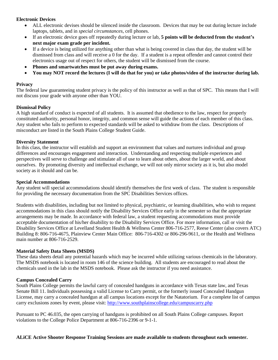### **Electronic Devices**

- ALL electronic devises should be silenced inside the classroom. Devices that may be out during lecture include laptops, tablets, and in *special circumstances*, cell phones.
- If an electronic device goes off repeatedly during lecture or lab, **5 points will be deducted from the student's next major exam grade per incident.**
- If a device is being utilized for anything other than what is being covered in class that day, the student will be dismissed from class and will receive a 0 for the day. If a student is a repeat offender and cannot control their electronics usage out of respect for others, the student will be dismissed from the course.
- **Phones and smartwatches must be put away during exams.**
- **You may NOT record the lectures (I will do that for you) or take photos/video of the instructor during lab.**

#### **Privacy**

The federal law guaranteeing student privacy is the policy of this instructor as well as that of SPC. This means that I will not discuss your grade with anyone other than YOU.

## **Dismissal Policy**

A high standard of conduct is expected of all students. It is assumed that obedience to the law, respect for properly constituted authority, personal honor, integrity, and common sense will guide the actions of each member of this class. Any student who fails to perform to expected standards will be asked to withdraw from the class. Descriptions of misconduct are listed in the South Plains College Student Guide.

#### **Diversity Statement**

In this class, the instructor will establish and support an environment that values and nurtures individual and group differences and encourages engagement and interaction. Understanding and respecting multiple experiences and perspectives will serve to challenge and stimulate all of use to learn about others, about the larger world, and about ourselves. By promoting diversity and intellectual exchange, we will not only mirror society as it is, but also model society as it should and can be.

#### **Special Accommodations**

Any student will special accommodations should identify themselves the first week of class. The student is responsible for providing the necessary documentation from the SPC Disabilities Services offices.

Students with disabilities, including but not limited to physical, psychiatric, or learning disabilities, who wish to request accommodations in this class should notify the Disability Services Office early in the semester so that the appropriate arrangements may be made. In accordance with federal law, a student requesting accommodations must provide acceptable documentation of his/her disability to the Disability Services Office. For more information, call or visit the Disability Services Office at Levelland Student Health & Wellness Center 806-716-2577, Reese Center (also covers ATC) Building 8: 806-716-4675, Plainview Center Main Office: 806-716-4302 or 806-296-9611, or the Health and Wellness main number at 806-716-2529.

#### **Material Safety Data Sheets (MSDS)**

These data sheets detail any potential hazards which may be incurred while utilizing various chemicals in the laboratory. The MSDS notebook is located in room 146 of the science building. All students are encouraged to read about the chemicals used in the lab in the MSDS notebook. Please ask the instructor if you need assistance.

### **Campus Concealed Carry**

South Plains College permits the lawful carry of concealed handguns in accordance with Texas state law, and Texas Senate Bill 11. Individuals possessing a valid License to Carry permit, or the formerly issued Concealed Handgun License, may carry a concealed handgun at all campus locations except for the Natatorium. For a complete list of campus carry exclusions zones by event, please visit: <http://www.southplainscollege.edu/campuscarry.php>

Pursuant to PC 46.035, the open carrying of handguns is prohibited on all South Plains College campuses. Report violations to the College Police Department at 806-716-2396 or 9-1-1.

**ALiCE Active Shooter Response Training Sessions are made available to students throughout each semester.**